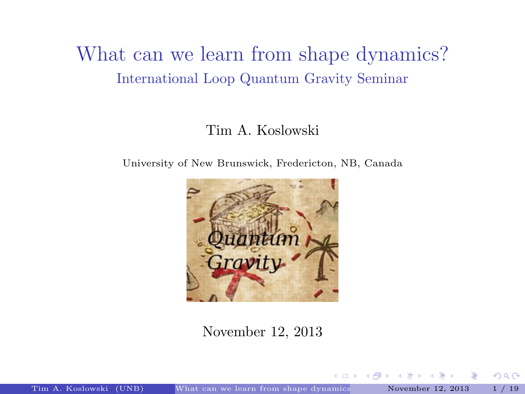### What can we learn from shape dynamics? International Loop Quantum Gravity Seminar

#### Tim A. Koslowski

University of New Brunswick, Fredericton, NB, Canada



November 12, 2013

4.000

<span id="page-0-0"></span>→ 母 →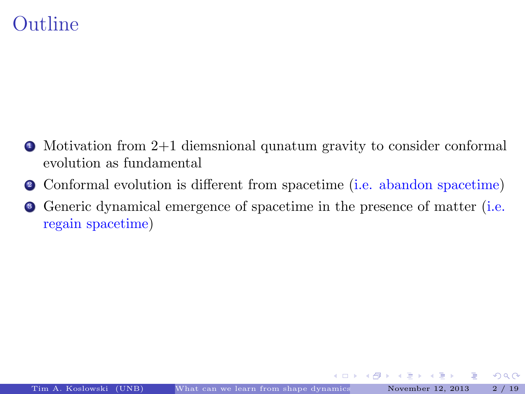### Outline

- $\bullet$  Motivation from 2+1 diemsnional qunatum gravity to consider conformal evolution as fundamental
- <sup>2</sup> Conformal evolution is different from spacetime (i.e. abandon spacetime)
- <sup>3</sup> Generic dynamical emergence of spacetime in the presence of matter (i.e. regain spacetime)

イロト イ押ト イヨト イヨト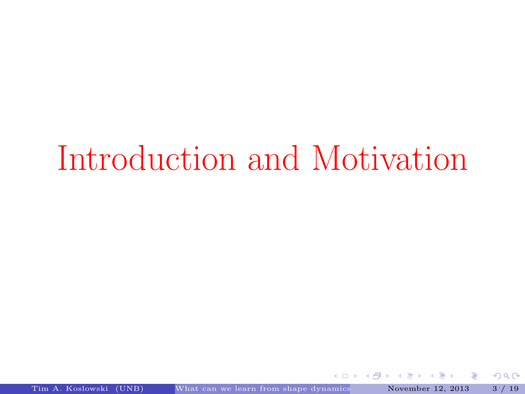## Introduction and Motivation

**←ロ ▶ → 伊 ▶** 

 $\sim$  4  $\,$ ∍ Þ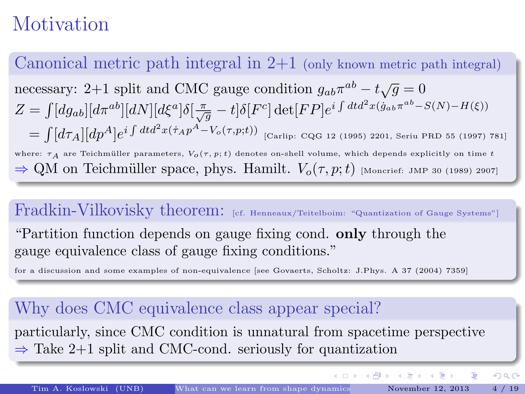## Motivation

Canonical metric path integral in  $2+1$  (only known metric path integral) necessary: 2+1 split and CMC gauge condition  $g_{ab}\pi^{ab} - t\sqrt{g} = 0$  $Z = \int [dg_{ab}][d\pi^{ab}][dN][d\xi^{a}]\delta[\frac{\pi}{\sqrt{g}} - t]\delta[F^{c}]\det[FP]e^{i\int dt d^{2}x(\dot{g}_{ab}\pi^{ab} - S(N) - H(\xi))}$  $=\int [d\tau_A][dp^A]e^{i\int dtd^2x(\dot\tau_A p^A-V_o(\tau,p;t))}$  [Carlip: CQG 12 (1995) 2201, Seriu PRD 55 (1997) 781] where:  $\tau_A$  are Teichmüller parameters,  $V_o(\tau, p; t)$  denotes on-shell volume, which depends explicitly on time t  $\Rightarrow$  QM on Teichmüller space, phys. Hamilt.  $V_o(\tau, p; t)$  [Moncrief: JMP 30 (1989) 2907]

#### Fradkin-Vilkovisky theorem: [cf. Henneaux/Teitelboim: "Quantization of Gauge Systems"]

"Partition function depends on gauge fixing cond. only through the gauge equivalence class of gauge fixing conditions."

for a discussion and some examples of non-equivalence [see Govaerts, Scholtz: J.Phys. A 37 (2004) 7359]

#### Why does CMC equivalence class appear special?

particularly, since CMC condition is unnatural from spacetime perspective  $\Rightarrow$  Take 2+1 split and CMC-cond. seriously for quantization

イロメ イ母メ イヨメ イヨメ

 $\Omega$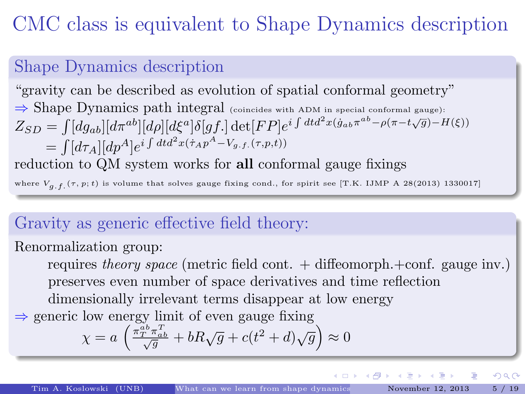## CMC class is equivalent to Shape Dynamics description

#### Shape Dynamics description

"gravity can be described as evolution of spatial conformal geometry"  $\Rightarrow$  Shape Dynamics path integral (coincides with ADM in special conformal gauge):  $Z_{SD} = \int [dg_{ab}][d\pi^{ab}][d\rho][d\xi^{a}]\delta[gf.]$  det $[FP]e^{i\int dt d^{2}x(g_{ab}\pi^{ab}-\rho(\pi-t\sqrt{g})-H(\xi))}$  $=\int [d\tau_A] [dp^A] e^{i\int dt d^2x (\dot\tau_A p^A-V_{g.f.}(\tau,p,t))}$ reduction to QM system works for all conformal gauge fixings

where  $V_{a,f.}(\tau, p;t)$  is volume that solves gauge fixing cond., for spirit see [T.K. IJMP A 28(2013) 1330017]

#### Gravity as generic effective field theory:

Renormalization group:

requires theory space (metric field cont.  $+$  diffeomorph. $+$ conf. gauge inv.) preserves even number of space derivatives and time reflection dimensionally irrelevant terms disappear at low energy

 $\Rightarrow$  generic low energy limit of even gauge fixing

$$
\chi = a \left( \frac{\phi_{T}^{ab} \pi_{ab}^{T}}{\sqrt{g}} + bR\sqrt{g} + c(t^2 + d)\sqrt{g} \right) \approx 0
$$

 $\Omega$ 

 $\left\{ \begin{array}{ccc} 1 & 0 & 0 \\ 0 & 1 & 0 \end{array} \right.$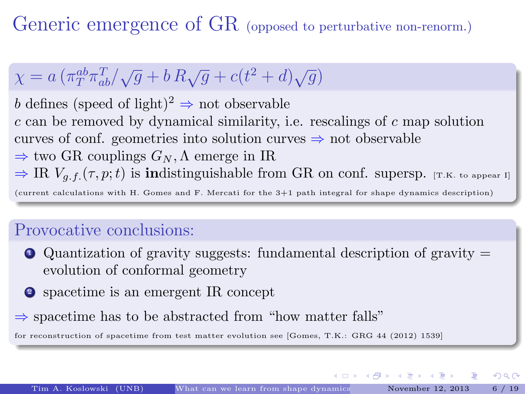Generic emergence of GR (opposed to perturbative non-renorm.)

## $\chi = a \left( \pi_T^{ab} \pi_{ab}^T / \sqrt{g} + b R \sqrt{g} + c (t^2 + d) \sqrt{g} \right)$

b defines (speed of light)<sup>2</sup>  $\Rightarrow$  not observable  $c$  can be removed by dynamical similarity, i.e. rescalings of  $c$  map solution curves of conf. geometries into solution curves  $\Rightarrow$  not observable  $\Rightarrow$  two GR couplings  $G_N$ ,  $\Lambda$  emerge in IR  $\Rightarrow \text{IR } V_{q,f}(\tau,p;t)$  is indistinguishable from GR on conf. supersp. [T.K. to appear I]

(current calculations with H. Gomes and F. Mercati for the 3+1 path integral for shape dynamics description)

#### Provocative conclusions:

- $\bullet$  Quantization of gravity suggests: fundamental description of gravity  $=$ evolution of conformal geometry
- <sup>2</sup> spacetime is an emergent IR concept
- $\Rightarrow$  spacetime has to be abstracted from "how matter falls"

for reconstruction of spacetime from test matter evolution see [Gomes, T.K.: GRG 44 (2012) 1539]

イロト イ部 ト イヨ ト イヨト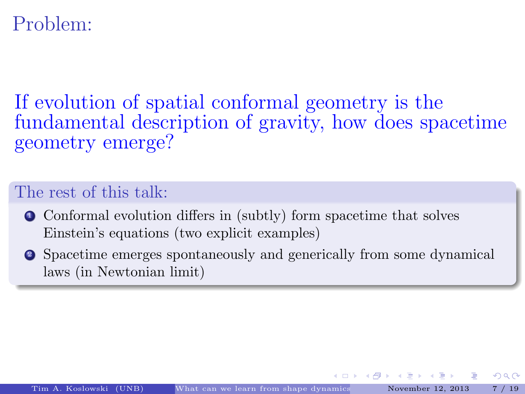### Problem:

If evolution of spatial conformal geometry is the fundamental description of gravity, how does spacetime geometry emerge?

#### The rest of this talk:

- <sup>1</sup> Conformal evolution differs in (subtly) form spacetime that solves Einstein's equations (two explicit examples)
- <sup>2</sup> Spacetime emerges spontaneously and generically from some dynamical laws (in Newtonian limit)

イロト イ母ト イヨト イヨト

ഹൈ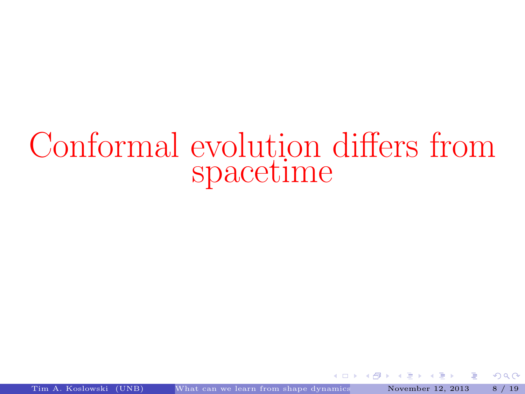## Conformal evolution differs from spacetime

4.000

 $\left\{ \bigoplus_{i=1}^{n} x_i : i \in \mathbb{R}^n \right\}$ 

Þ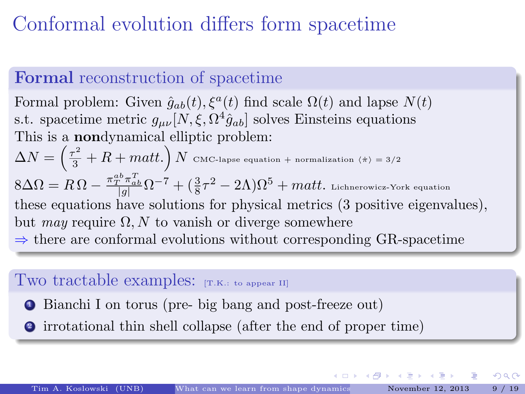## Conformal evolution differs form spacetime

#### Formal reconstruction of spacetime

Formal problem: Given  $\hat{g}_{ab}(t)$ ,  $\xi^a(t)$  find scale  $\Omega(t)$  and lapse  $N(t)$ s.t. spacetime metric  $g_{\mu\nu}[N,\xi,\Omega^4\hat{g}_{ab}]$  solves Einsteins equations This is a nondynamical elliptic problem:  $\Delta N=\left(\frac{\tau^2}{3}+R+{matt.}\right)N\,$  CMC-lapse equation + normalization ( $\pi\rangle$  = 3/2  $8\Delta\Omega=R\,\Omega-\frac{\pi_T^{ab}\pi_{ab}^T}{|g|}\Omega^{-7}+(\frac{3}{8}\tau^2-2\Lambda)\Omega^5+matt.$  Lichnerowicz-York equation these equations have solutions for physical metrics (3 positive eigenvalues), but may require  $\Omega$ , N to vanish or diverge somewhere  $\Rightarrow$  there are conformal evolutions without corresponding GR-spacetime

#### Two tractable examples: [T.K.: to appear II]

- <sup>1</sup> Bianchi I on torus (pre- big bang and post-freeze out)
- <sup>2</sup> irrotational thin shell collapse (after the end of proper time)

.<br>← ロ ▶ . ← @ ▶ . ← 글 ▶ . ← 글 ▶ . . 글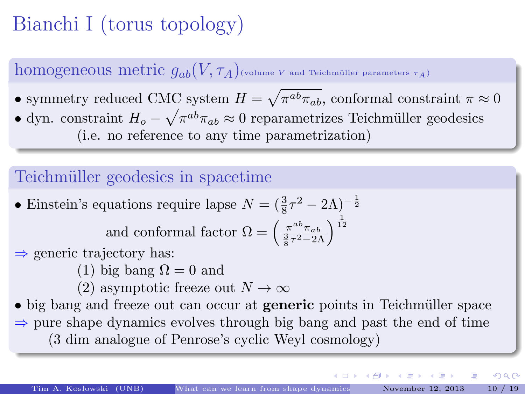## Bianchi I (torus topology)

homogeneous metric  $q_{ab}(V, \tau_A)$ <sub>(volume V and Teichmüller parameters  $\tau_A$ )</sub>

• symmetry reduced CMC system  $H = \sqrt{\pi^{ab}\pi_{ab}}$ , conformal constraint  $\pi \approx 0$ • dyn. constraint  $H_o - \sqrt{\pi^{ab}\pi_{ab}} \approx 0$  reparametrizes Teichmüller geodesics (i.e. no reference to any time parametrization)

#### Teichmüller geodesics in spacetime

- Einstein's equations require lapse  $N = (\frac{3}{8}\tau^2 2\Lambda)^{-\frac{1}{2}}$ and conformal factor  $\Omega = \left(\frac{\pi^{ab}\pi_{ab}}{\frac{3}{8}\tau^2 - 2\Lambda}\right)^{\frac{1}{12}}$
- $\Rightarrow$  generic trajectory has:
	- (1) big bang  $\Omega = 0$  and
	- (2) asymptotic freeze out  $N \to \infty$

• big bang and freeze out can occur at **generic** points in Teichmüller space  $\Rightarrow$  pure shape dynamics evolves through big bang and past the end of time (3 dim analogue of Penrose's cyclic Weyl cosmology)

イロメ イ母メ イモメ イモメ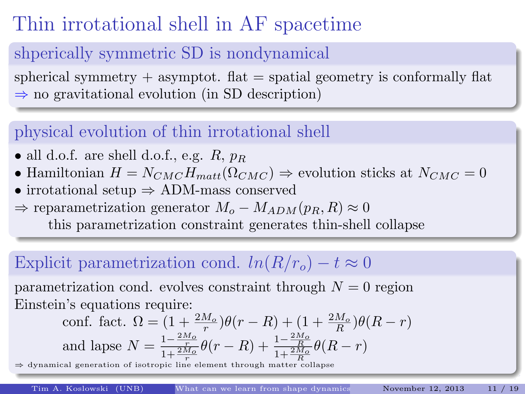## Thin irrotational shell in AF spacetime

#### shperically symmetric SD is nondynamical

spherical symmetry  $+$  asymptot. flat  $=$  spatial geometry is conformally flat  $\Rightarrow$  no gravitational evolution (in SD description)

#### physical evolution of thin irrotational shell

- all d.o.f. are shell d.o.f., e.g.  $R$ ,  $p_R$
- Hamiltonian  $H = N_{CMC}H_{matt}(\Omega_{CMC}) \Rightarrow$  evolution sticks at  $N_{CMC} = 0$
- irrotational setup ⇒ ADM-mass conserved
- $\Rightarrow$  reparametrization generator  $M_o M_{ADM}(p_B, R) \approx 0$

this parametrization constraint generates thin-shell collapse

#### Explicit parametrization cond.  $ln(R/r_0) - t \approx 0$

parametrization cond. evolves constraint through  $N = 0$  region Einstein's equations require:

$$
\text{conf. fact. } \Omega = (1 + \frac{2M_o}{r})\theta(r - R) + (1 + \frac{2M_o}{R})\theta(R - r)
$$
\n
$$
\text{and lapse } N = \frac{1 - \frac{2M_o}{r}}{1 + \frac{2M_o}{r}}\theta(r - R) + \frac{1 - \frac{2M_o}{R}}{1 + \frac{2M_o}{R}}\theta(R - r)
$$

 $\Rightarrow$  dynamical generation of isotropic line element through matter collapse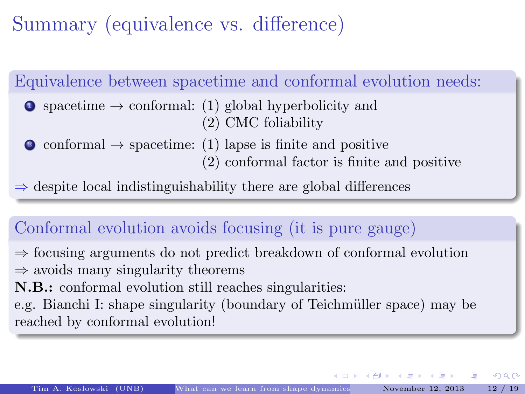Summary (equivalence vs. difference)

Equivalence between spacetime and conformal evolution needs:

 $\bullet$  spacetime  $\rightarrow$  conformal: (1) global hyperbolicity and (2) CMC foliability

• conformal  $\rightarrow$  spacetime: (1) lapse is finite and positive (2) conformal factor is finite and positive

 $\Rightarrow$  despite local indistinguishability there are global differences

#### Conformal evolution avoids focusing (it is pure gauge)

⇒ focusing arguments do not predict breakdown of conformal evolution  $\Rightarrow$  avoids many singularity theorems

N.B.: conformal evolution still reaches singularities:

e.g. Bianchi I: shape singularity (boundary of Teichmüller space) may be reached by conformal evolution!

イロメ イ団メ イ毛メ イヨメー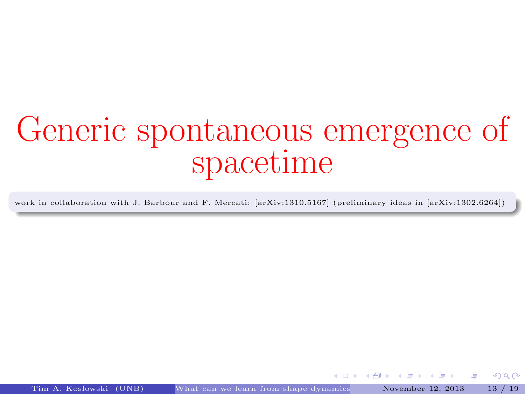## Generic spontaneous emergence of spacetime

work in collaboration with J. Barbour and F. Mercati: [arXiv:1310.5167] (preliminary ideas in [arXiv:1302.6264])

Tim A. Koslowski (UNB) What can we learn from shape dynamics November 12, 2013 13 / 19

4.000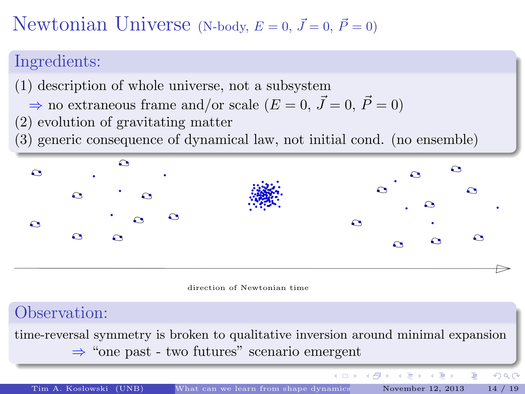### Newtonian Universe (N-body,  $E = 0$ ,  $\vec{J} = 0$ ,  $\vec{P} = 0$ )

#### Ingredients:

- (1) description of whole universe, not a subsystem
	- $\Rightarrow$  no extraneous frame and/or scale  $(E = 0, \vec{J} = 0, \vec{P} = 0)$
- (2) evolution of gravitating matter
- (3) generic consequence of dynamical law, not initial cond. (no ensemble)



direction of Newtonian time

#### Observation:

time-reversal symmetry is broken to qualitative inversion around minimal expansion ⇒ "one past - two futures" scenario emergent

Tim A. Koslowski (UNB) What can we learn from shape dynamics November 12, 2013 14 / 19

K ロト K 御 ト K 君 ト K 君 ト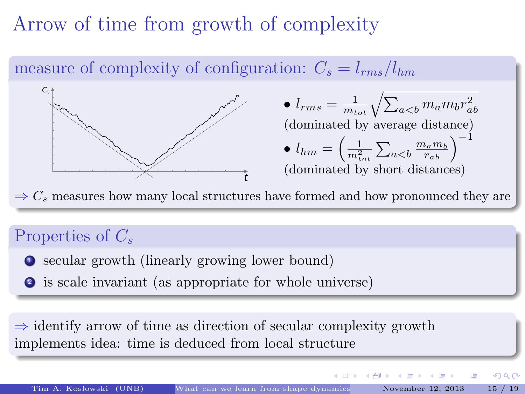## Arrow of time from growth of complexity

measure of complexity of configuration:  $C_s = l_{rms}/l_{hm}$  $\bullet$   $l_{rms} = \frac{1}{m_{tot}}\sqrt{\sum_{a$ (dominated by average distance)  $\bullet$   $l_{hm}=\left(\frac{1}{m_{tot}^2}\sum_{a$ (dominated by short distances)

 $\Rightarrow$  C<sub>s</sub> measures how many local structures have formed and how pronounced they are

#### Properties of  $C_s$

- <sup>1</sup> secular growth (linearly growing lower bound)
- <sup>2</sup> is scale invariant (as appropriate for whole universe)

 $\Rightarrow$  identify arrow of time as direction of secular complexity growth implements idea: time is deduced from local structure

 $\Omega$ 

4 ロ ト イ何 ト イヨ ト イヨ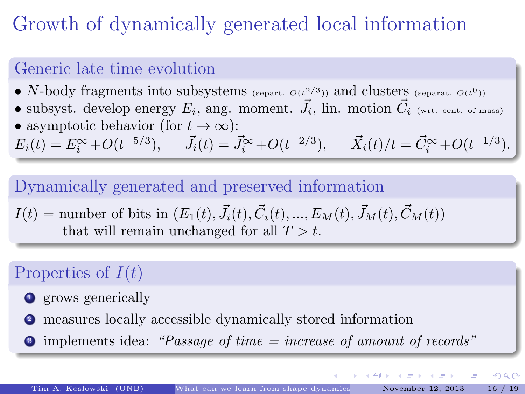## Growth of dynamically generated local information

#### Generic late time evolution

- N-body fragments into subsystems (separt.  $O(t^{2/3})$ ) and clusters (separat.  $O(t^0)$ )
- subsyst. develop energy  $E_i$ , ang. moment.  $\vec{J}_i$ , lin. motion  $\vec{C}_i$  (wrt. cent. of mass) • asymptotic behavior (for  $t \to \infty$ ):

 $E_i(t) = E_i^{\infty} + O(t^{-5/3}), \quad \vec{J}_i(t) = \vec{J}_i^{\infty} + O(t^{-2/3}), \quad \vec{X}_i(t)/t = \vec{C}_i^{\infty} + O(t^{-1/3}).$ 

#### Dynamically generated and preserved information

 $I(t) =$  number of bits in  $(E_1(t), \vec{J}_i(t), \vec{C}_i(t), ..., E_M(t), \vec{J}_M(t), \vec{C}_M(t))$ that will remain unchanged for all  $T > t$ .

#### Properties of  $I(t)$

- **1** grows generically
- <sup>2</sup> measures locally accessible dynamically stored information
- $\bullet$  implements idea: "Passage of time = increase of amount of records"

イロメ イ母メ イヨメ イヨメ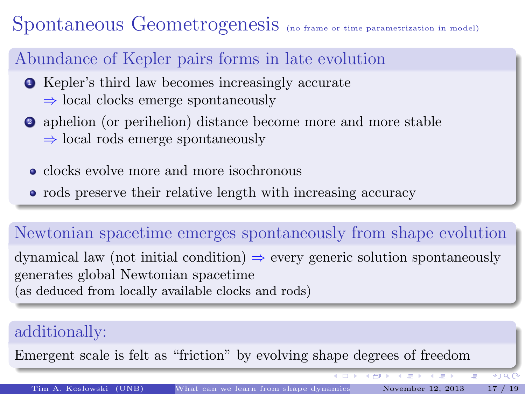## Spontaneous Geometrogenesis (no frame or time parametrization in model)

#### Abundance of Kepler pairs forms in late evolution

- <sup>1</sup> Kepler's third law becomes increasingly accurate  $\Rightarrow$  local clocks emerge spontaneously
- <sup>2</sup> aphelion (or perihelion) distance become more and more stable  $\Rightarrow$  local rods emerge spontaneously
	- clocks evolve more and more isochronous
	- rods preserve their relative length with increasing accuracy

#### Newtonian spacetime emerges spontaneously from shape evolution

dynamical law (not initial condition)  $\Rightarrow$  every generic solution spontaneously generates global Newtonian spacetime (as deduced from locally available clocks and rods)

#### additionally:

Emergent scale is felt as "friction" by evolving shape degrees of freedom

 $\overline{C}$ 

 $*$  )  $\alpha$   $\beta$ 

→ 御き → 高速 → → 高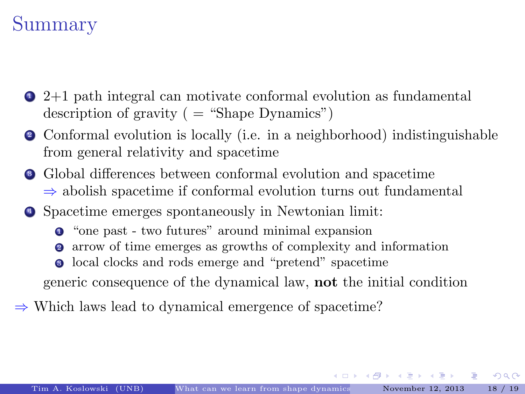## Summary

- $\bullet$  2+1 path integral can motivate conformal evolution as fundamental description of gravity ( = "Shape Dynamics")
- <sup>2</sup> Conformal evolution is locally (i.e. in a neighborhood) indistinguishable from general relativity and spacetime
- <sup>3</sup> Global differences between conformal evolution and spacetime  $\Rightarrow$  abolish spacetime if conformal evolution turns out fundamental
- <sup>4</sup> Spacetime emerges spontaneously in Newtonian limit:
	- <sup>1</sup> "one past two futures" around minimal expansion
	- <sup>2</sup> arrow of time emerges as growths of complexity and information
	- local clocks and rods emerge and "pretend" spacetime

generic consequence of the dynamical law, not the initial condition

⇒ Which laws lead to dynamical emergence of spacetime?

K ロ ▶ K 御 ▶ K 결 ▶ K 결 ▶ │ 결